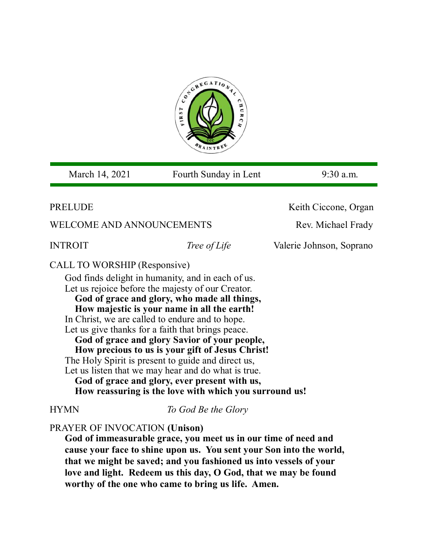

March 14, 2021 Fourth Sunday in Lent 9:30 a.m.

## **PRELUDE** *Keith Ciccone, Organ*

WELCOME AND ANNOUNCEMENTS Rev. Michael Frady

**INTROIT** *Tree of Life* Valerie Johnson, Soprano

## CALL TO WORSHIP (Responsive)

God finds delight in humanity, and in each of us. Let us rejoice before the majesty of our Creator. **God of grace and glory, who made all things,** 

**How majestic is your name in all the earth!** In Christ, we are called to endure and to hope. Let us give thanks for a faith that brings peace.

**God of grace and glory Savior of your people,**

**How precious to us is your gift of Jesus Christ!** 

The Holy Spirit is present to guide and direct us,

Let us listen that we may hear and do what is true. **God of grace and glory, ever present with us, How reassuring is the love with which you surround us!**

HYMN *To God Be the Glory*

## PRAYER OF INVOCATION **(Unison)**

**God of immeasurable grace, you meet us in our time of need and cause your face to shine upon us. You sent your Son into the world, that we might be saved; and you fashioned us into vessels of your love and light. Redeem us this day, O God, that we may be found worthy of the one who came to bring us life. Amen.**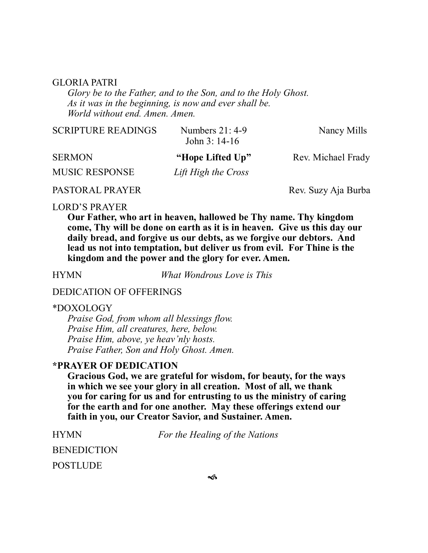#### GLORIA PATRI

*Glory be to the Father, and to the Son, and to the Holy Ghost. As it was in the beginning, is now and ever shall be. World without end. Amen. Amen.* 

| <b>SCRIPTURE READINGS</b> | Numbers $21:4-9$<br>John $3:14-16$ | Nancy Mills        |
|---------------------------|------------------------------------|--------------------|
| <b>SERMON</b>             | "Hope Lifted Up"                   | Rev. Michael Frady |
| <b>MUSIC RESPONSE</b>     | Lift High the Cross                |                    |

## PASTORAL PRAYER Rev. Suzy Aja Burba

#### LORD'S PRAYER

**Our Father, who art in heaven, hallowed be Thy name. Thy kingdom come, Thy will be done on earth as it is in heaven. Give us this day our daily bread, and forgive us our debts, as we forgive our debtors. And lead us not into temptation, but deliver us from evil. For Thine is the kingdom and the power and the glory for ever. Amen.**

HYMN *What Wondrous Love is This* 

#### DEDICATION OF OFFERINGS

#### \*DOXOLOGY

*Praise God, from whom all blessings flow. Praise Him, all creatures, here, below. Praise Him, above, ye heav'nly hosts. Praise Father, Son and Holy Ghost. Amen.*

### **\*PRAYER OF DEDICATION**

**Gracious God, we are grateful for wisdom, for beauty, for the ways in which we see your glory in all creation. Most of all, we thank you for caring for us and for entrusting to us the ministry of caring for the earth and for one another. May these offerings extend our faith in you, our Creator Savior, and Sustainer. Amen.**

| <b>HYMN</b>        |  |
|--------------------|--|
| <b>BENEDICTION</b> |  |
| POSTLUDE           |  |

*For the Healing of the Nations*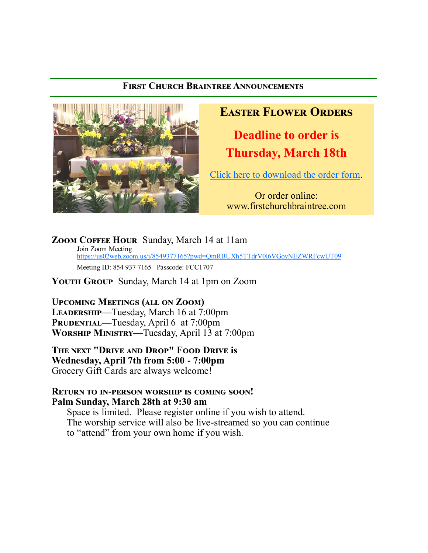## **First Church Braintree Announcements**



# **Easter Flower Orders**

**Deadline to order is Thursday, March 18th**

[Click here to download the order form.](file:///C:/Users/fccbr/Documents/Flower orders/Easter order form 2021.pdf)

Or order online: www.firstchurchbraintree.com

**Zoom Coffee Hour** Sunday, March 14 at 11am Join Zoom Meeting <https://us02web.zoom.us/j/8549377165?pwd=QmRBUXh5TTdrV0l6VGovNEZWRFcwUT09> Meeting ID: 854 937 7165 Passcode: FCC1707

**Youth Group** Sunday, March 14 at 1pm on Zoom

**Upcoming Meetings (all on Zoom) Leadership—**Tuesday, March 16 at 7:00pm **PRUDENTIAL—Tuesday, April 6 at 7:00pm Worship Ministry—**Tuesday, April 13 at 7:00pm

**The next "Drive and Drop" Food Drive is Wednesday, April 7th from 5:00 - 7:00pm**  Grocery Gift Cards are always welcome!

### **Return to in-person worship is coming soon! Palm Sunday, March 28th at 9:30 am**

Space is limited. Please register online if you wish to attend. The worship service will also be live-streamed so you can continue to "attend" from your own home if you wish.